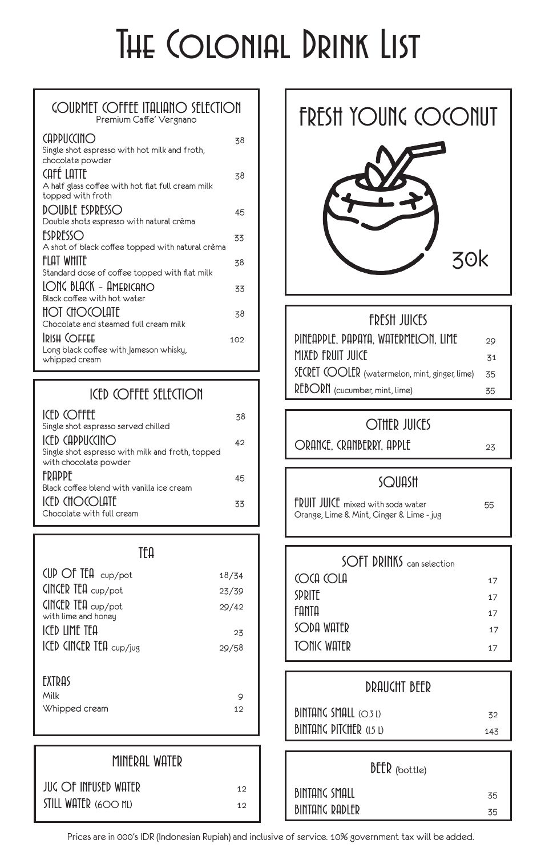# THE COLONIAL DRINK LIST

#### GOURMET COFFEE ITALIANO SELECTION Premium Caffe' Vergnano

| <b>CAPPUCCINO</b><br>Single shot espresso with hot milk and froth,<br>chocolate powder | 38  |
|----------------------------------------------------------------------------------------|-----|
| Café Latte<br>A half glass coffee with hot flat full cream milk<br>topped with froth   | 38  |
| <b>DOUBLE ESPRESSO</b>                                                                 | 45  |
| Double shots espresso with natural crèma                                               |     |
| ESPRESSO                                                                               | 33  |
| A shot of black coffee topped with natural crèma                                       |     |
| <b>FILOT WHITE</b>                                                                     | 38  |
| Standard dose of coffee topped with flat milk                                          |     |
| LONG BLACK - AMERICANO                                                                 | 33  |
| Black coffee with hot water                                                            |     |
| <b>HOT CHOCOLATE</b>                                                                   | 38  |
| Chocolate and steamed full cream milk                                                  |     |
| <b>IRISH COFFEE</b>                                                                    | 102 |
| Long black coffee with Jameson whisky,                                                 |     |
| whipped cream                                                                          |     |

### ICED COFFEE SELECTION

| <b>ICED COFFEE</b><br>Single shot espresso served chilled | 38 |
|-----------------------------------------------------------|----|
| $ICFD$ $CD$ $CD$                                          |    |
|                                                           | 42 |
| Single shot espresso with milk and froth, topped          |    |
| with chocolate powder                                     |    |
| <b>FRAPPF</b>                                             | 45 |
| Black coffee blend with vanilla ice cream                 |    |
| $ICFD$ $CHO$ $O$ $I$ $IIF$                                | 33 |
| Chocolate with full cream                                 |    |

| TFΩ                                                                  |       |
|----------------------------------------------------------------------|-------|
| $CUP$ Of Ita $cup_{P}$ /pot                                          | 18/34 |
| CINCER TEA cup/pot                                                   | 23/39 |
| $C$ <b>C</b> $CP$ <b>C</b> $CP$ <b>C</b> $CP$<br>with lime and honey | 29/42 |
| ICFD IIMF TFA                                                        | 23    |
| $ICED$ $CINCER$ $TEA$ $_{cup/ius}$                                   | 29/58 |
| <b>FXTDAS</b>                                                        |       |
| Milk                                                                 | Q     |
| Whipped cream                                                        | 12    |

| MINERAL WATER            |    |
|--------------------------|----|
| $JUC$ $Of$ infused water | 12 |
| STILL WATER (600 ML)     | 12 |

### FRESH YOUNG COCONUT



#### FRESH JUICES

| PINEAPPLE, PAPAYA, WATERMELON, LIME            | 29              |
|------------------------------------------------|-----------------|
| MIXED FRUIT JUICE                              | $\overline{51}$ |
| SECRET (OOLER (watermelon, mint, ginger, lime) | -35             |
| REBORN (cucumber, mint, lime)                  | 35              |

#### OTHER JUICES

ORANGE, CRANBERRY, APPLE 23

#### **SQUASH**

FRUIT JUICE mixed with soda water 55 Orange, Lime & Mint, Ginger & Lime - jug

| SOFT DRINKS can selection |    |
|---------------------------|----|
| <b>COCA COLA</b>          | 17 |
| <b>SPRITE</b>             | 17 |
| <b>FANTA</b>              | 17 |
| SODA WATER                | 17 |
| <b>TONIC WATER</b>        | 17 |

#### DRAUGHT BEER

| BINTANG SMALL (O.3 L)          | スク  |
|--------------------------------|-----|
| <b>BINTANG PITCHER (1.5 L)</b> | 143 |

| $\textsf{DEER}$ (bottle) |    |
|--------------------------|----|
| <b>BINTANG SMALL</b>     | 35 |
| <b>BINTANG RADLER</b>    | 35 |

Prices are in 000's IDR (Indonesian Rupiah) and inclusive of service. 10% government tax will be added.